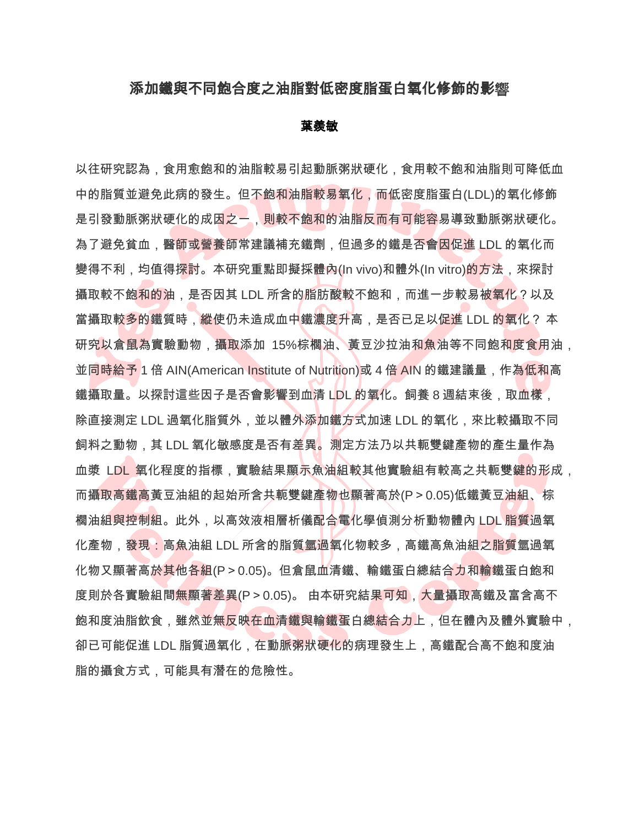## 添加鐵與不同飽合度之油脂對低密度脂蛋白氧化修飾的影響

## 葉羨敏

以往研究認為,食用愈飽和的油脂較易引起動脈粥狀硬化,食用較不飽和油脂則可降低血 中的脂質並避免此病的發生。但不飽和油脂較易氧化,而低密度脂蛋白(LDL)的氧化修飾 是引發動脈粥狀硬化的成因之一,則較不飽和的油脂反而有可能容易導致動脈粥狀硬化。 為了避免貧血,醫師或營養師常建議補充鐵劑,但過多的鐵是否會因促進 LDL 的氧化而 變得不利,均值得探討。本研究重點即擬採體內(In vivo)和體外(In vitro)的方法,來探討 攝取較不飽和的油,是否因其 LDL 所含的脂肪酸較不飽和,而進一步較易被氧化?以及 當攝取較多的鐵質時,縱使仍未造成血中鐵濃度升高,是否已足以促進 LDL 的氧化? 本 研究以倉鼠為實驗動物,攝取添加 15%棕櫚油、黃豆沙拉油和魚油等不同飽和度食用油, 並同時給予 1 倍 AIN(American Institute of Nutrition)或 4 倍 AIN 的鐵建議量,作為低和高 鐵攝取量。以探討這些因子是否會影響到血清 LDL 的氧化。飼養 8 週結束後,取血樣, 除直接測定 LDL 過氧化脂質外,並以體外添加鐵方式加速 LDL 的氧化,來比較攝取不同 飼料之動物,其 LDL 氧化敏感度是否有差異。測定方法乃以共軛雙鍵產物的產生量作為 血漿 LDL 氧化程度的指標,實驗結果顯示魚油組較其他實驗組有較高之共軛雙鍵的形成, 而攝取高鐵高黃豆油組的起始所含共軛雙鍵產物也顯著高於(P>0.05)低鐵黃豆油組、棕 櫚油組與控制組。此外,以高效液相層析儀配合電化學偵測分析動物體內 LDL 脂質過氧 化產物,發現:高魚油組 LDL 所含的脂質氫過氧化物較多,高鐵高魚油組之脂質氫過氧 化物又顯著高於其他各組(P>0.05)。但倉鼠血清鐵、輸鐵蛋白總結合力和輸鐵蛋白飽和 度則於各實驗組間無顯著差異(P>0.05)。 由本研究結果可知,大量攝取高鐵及富含高不 飽和度油脂飲食,雖然並無反映在血清鐵與輸鐵蛋白總結合力上,但在體內及體外實驗中, 卻已可能促進 LDL 脂質過氧化,在動脈粥狀硬化的病理發生上,高鐵配合高不飽和度油 脂的攝食方式,可能具有潛在的危險性。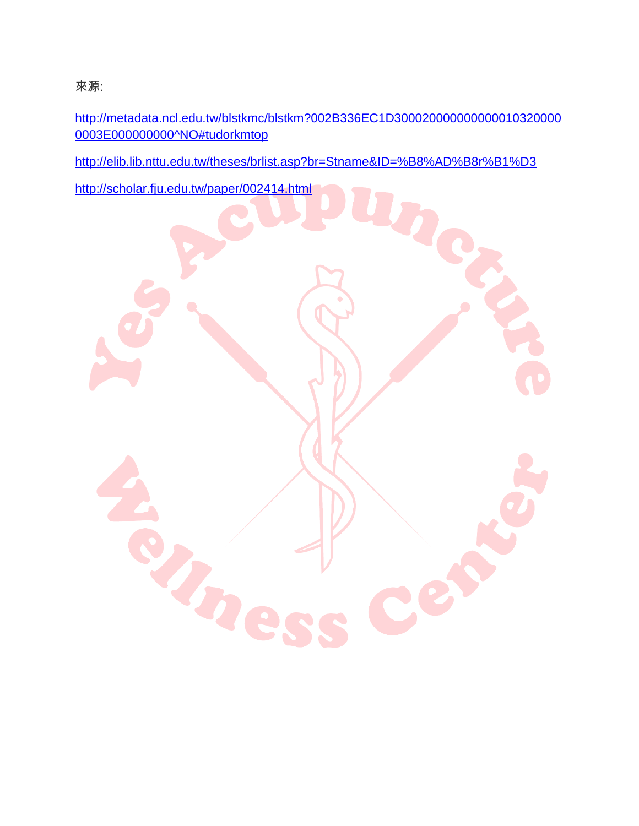來源:

[http://metadata.ncl.edu.tw/blstkmc/blstkm?002B336EC1D300020000000000010320000](http://metadata.ncl.edu.tw/blstkmc/blstkm?002B336EC1D3000200000000000103200000003E000000000%5eNO#tudorkmtop) [0003E000000000^NO#tudorkmtop](http://metadata.ncl.edu.tw/blstkmc/blstkm?002B336EC1D3000200000000000103200000003E000000000%5eNO#tudorkmtop)

<http://elib.lib.nttu.edu.tw/theses/brlist.asp?br=Stname&ID=%B8%AD%B8r%B1%D3>

<http://scholar.fju.edu.tw/paper/002414.html>

D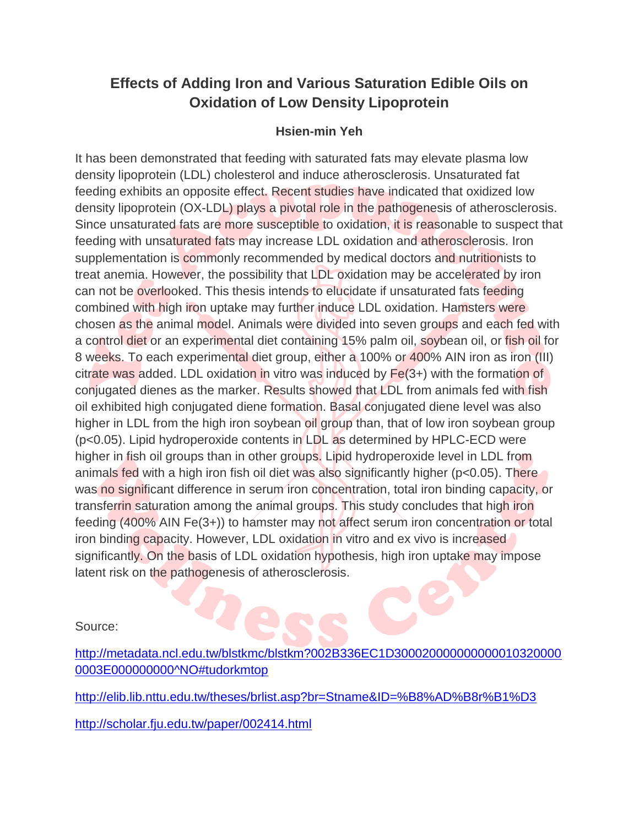## **Effects of Adding Iron and Various Saturation Edible Oils on Oxidation of Low Density Lipoprotein**

## **Hsien-min Yeh**

It has been demonstrated that feeding with saturated fats may elevate plasma low density lipoprotein (LDL) cholesterol and induce atherosclerosis. Unsaturated fat feeding exhibits an opposite effect. Recent studies have indicated that oxidized low density lipoprotein (OX-LDL) plays a pivotal role in the pathogenesis of atherosclerosis. Since unsaturated fats are more susceptible to oxidation, it is reasonable to suspect that feeding with unsaturated fats may increase LDL oxidation and atherosclerosis. Iron supplementation is commonly recommended by medical doctors and nutritionists to treat anemia. However, the possibility that LDL oxidation may be accelerated by iron can not be overlooked. This thesis intends to elucidate if unsaturated fats feeding combined with high iron uptake may further induce LDL oxidation. Hamsters were chosen as the animal model. Animals were divided into seven groups and each fed with a control diet or an experimental diet containing 15% palm oil, soybean oil, or fish oil for 8 weeks. To each experimental diet group, either a 100% or 400% AIN iron as iron (III) citrate was added. LDL oxidation in vitro was induced by Fe(3+) with the formation of conjugated dienes as the marker. Results showed that LDL from animals fed with fish oil exhibited high conjugated diene formation. Basal conjugated diene level was also higher in LDL from the high iron soybean oil group than, that of low iron soybean group (p<0.05). Lipid hydroperoxide contents in LDL as determined by HPLC-ECD were higher in fish oil groups than in other groups. Lipid hydroperoxide level in LDL from animals fed with a high iron fish oil diet was also significantly higher (p<0.05). There was no significant difference in serum iron concentration, total iron binding capacity, or transferrin saturation among the animal groups. This study concludes that high iron feeding (400% AIN Fe(3+)) to hamster may not affect serum iron concentration or total iron binding capacity. However, LDL oxidation in vitro and ex vivo is increased significantly. On the basis of LDL oxidation hypothesis, high iron uptake may impose latent risk on the pathogenesis of atherosclerosis.

Source:

[http://metadata.ncl.edu.tw/blstkmc/blstkm?002B336EC1D300020000000000010320000](http://metadata.ncl.edu.tw/blstkmc/blstkm?002B336EC1D3000200000000000103200000003E000000000%5eNO#tudorkmtop) [0003E000000000^NO#tudorkmtop](http://metadata.ncl.edu.tw/blstkmc/blstkm?002B336EC1D3000200000000000103200000003E000000000%5eNO#tudorkmtop)

<http://elib.lib.nttu.edu.tw/theses/brlist.asp?br=Stname&ID=%B8%AD%B8r%B1%D3>

<http://scholar.fju.edu.tw/paper/002414.html>